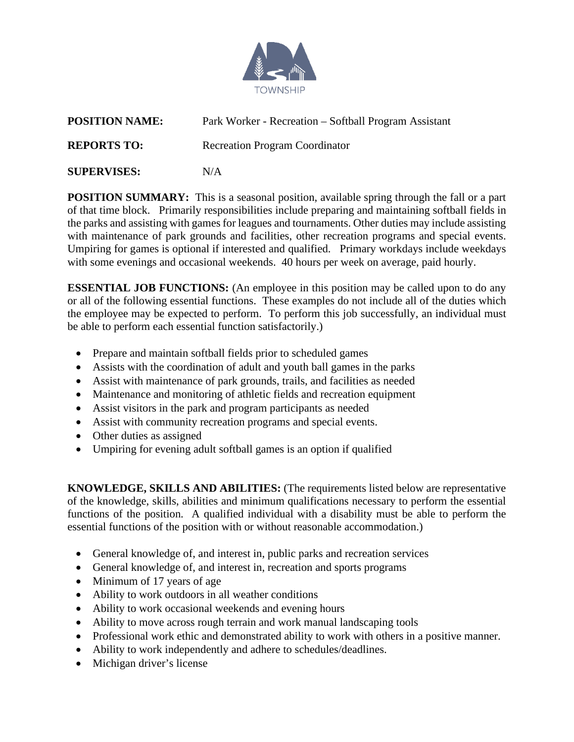

| <b>POSITION NAME:</b> | Park Worker - Recreation – Softball Program Assistant |
|-----------------------|-------------------------------------------------------|
| <b>REPORTS TO:</b>    | <b>Recreation Program Coordinator</b>                 |
| <b>SUPERVISES:</b>    | N/A                                                   |

**POSITION SUMMARY:** This is a seasonal position, available spring through the fall or a part of that time block. Primarily responsibilities include preparing and maintaining softball fields in the parks and assisting with games for leagues and tournaments. Other duties may include assisting with maintenance of park grounds and facilities, other recreation programs and special events. Umpiring for games is optional if interested and qualified. Primary workdays include weekdays with some evenings and occasional weekends. 40 hours per week on average, paid hourly.

**ESSENTIAL JOB FUNCTIONS:** (An employee in this position may be called upon to do any or all of the following essential functions. These examples do not include all of the duties which the employee may be expected to perform. To perform this job successfully, an individual must be able to perform each essential function satisfactorily.)

- Prepare and maintain softball fields prior to scheduled games
- Assists with the coordination of adult and youth ball games in the parks
- Assist with maintenance of park grounds, trails, and facilities as needed
- Maintenance and monitoring of athletic fields and recreation equipment
- Assist visitors in the park and program participants as needed
- Assist with community recreation programs and special events.
- Other duties as assigned
- Umpiring for evening adult softball games is an option if qualified

**KNOWLEDGE, SKILLS AND ABILITIES:** (The requirements listed below are representative of the knowledge, skills, abilities and minimum qualifications necessary to perform the essential functions of the position. A qualified individual with a disability must be able to perform the essential functions of the position with or without reasonable accommodation.)

- General knowledge of, and interest in, public parks and recreation services
- General knowledge of, and interest in, recreation and sports programs
- Minimum of 17 years of age
- Ability to work outdoors in all weather conditions
- Ability to work occasional weekends and evening hours
- Ability to move across rough terrain and work manual landscaping tools
- Professional work ethic and demonstrated ability to work with others in a positive manner.
- Ability to work independently and adhere to schedules/deadlines.
- Michigan driver's license